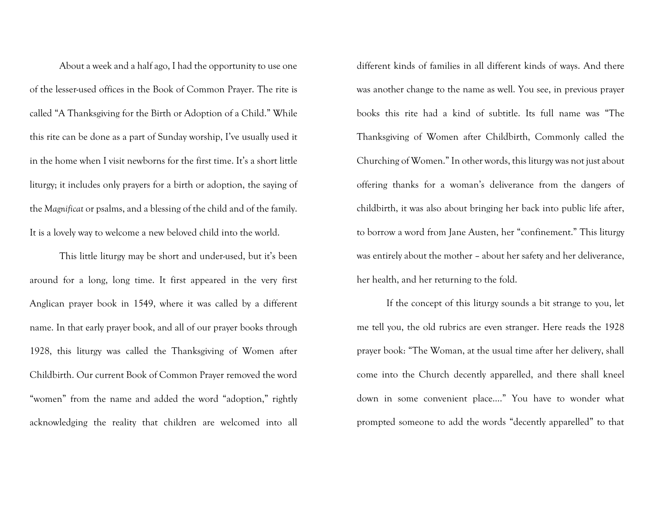About a week and a half ago, I had the opportunity to use one of the lesser-used offices in the Book of Common Prayer. The rite is called "A Thanksgiving for the Birth or Adoption of a Child." While this rite can be done as a part of Sunday worship, I've usually used it in the home when I visit newborns for the first time. It's a short little liturgy; it includes only prayers for a birth or adoption, the saying of the *Magnificat* or psalms, and a blessing of the child and of the family. It is a lovely way to welcome a new beloved child into the world.

This little liturgy may be short and under-used, but it's been around for a long, long time. It first appeared in the very first Anglican prayer book in 1549, where it was called by a different name. In that early prayer book, and all of our prayer books through 1928, this liturgy was called the Thanksgiving of Women after Childbirth. Our current Book of Common Prayer removed the word "women" from the name and added the word "adoption," rightly acknowledging the reality that children are welcomed into all

different kinds of families in all different kinds of ways. And there was another change to the name as well. You see, in previous prayer books this rite had a kind of subtitle. Its full name was "The Thanksgiving of Women after Childbirth, Commonly called the Churching of Women." In other words, this liturgy was not just about offering thanks for a woman's deliverance from the dangers of childbirth, it was also about bringing her back into public life after, to borrow a word from Jane Austen, her "confinement." This liturgy was entirely about the mother – about her safety and her deliverance, her health, and her returning to the fold.

If the concept of this liturgy sounds a bit strange to you, let me tell you, the old rubrics are even stranger. Here reads the 1928 prayer book: "The Woman, at the usual time after her delivery, shall come into the Church decently apparelled, and there shall kneel down in some convenient place…." You have to wonder what prompted someone to add the words "decently apparelled" to that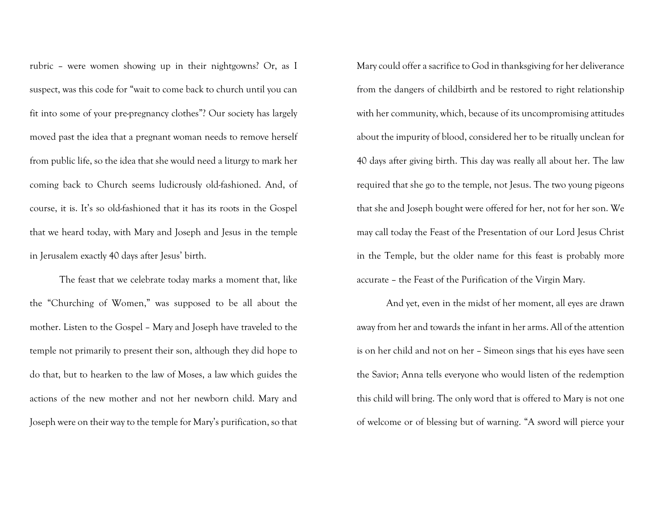rubric – were women showing up in their nightgowns? Or, as I suspect, was this code for "wait to come back to church until you can fit into some of your pre-pregnancy clothes"? Our society has largely moved past the idea that a pregnant woman needs to remove herself from public life, so the idea that she would need a liturgy to mark her coming back to Church seems ludicrously old-fashioned. And, of course, it is. It's so old-fashioned that it has its roots in the Gospel that we heard today, with Mary and Joseph and Jesus in the temple in Jerusalem exactly 40 days after Jesus' birth.

The feast that we celebrate today marks a moment that, like the "Churching of Women," was supposed to be all about the mother. Listen to the Gospel – Mary and Joseph have traveled to the temple not primarily to present their son, although they did hope to do that, but to hearken to the law of Moses, a law which guides the actions of the new mother and not her newborn child. Mary and Joseph were on their way to the temple for Mary's purification, so that Mary could offer a sacrifice to God in thanksgiving for her deliverance from the dangers of childbirth and be restored to right relationship with her community, which, because of its uncompromising attitudes about the impurity of blood, considered her to be ritually unclean for 40 days after giving birth. This day was really all about her. The law required that she go to the temple, not Jesus. The two young pigeons that she and Joseph bought were offered for her, not for her son. We may call today the Feast of the Presentation of our Lord Jesus Christ in the Temple, but the older name for this feast is probably more accurate – the Feast of the Purification of the Virgin Mary.

And yet, even in the midst of her moment, all eyes are drawn away from her and towards the infant in her arms. All of the attention is on her child and not on her – Simeon sings that his eyes have seen the Savior; Anna tells everyone who would listen of the redemption this child will bring. The only word that is offered to Mary is not one of welcome or of blessing but of warning. "A sword will pierce your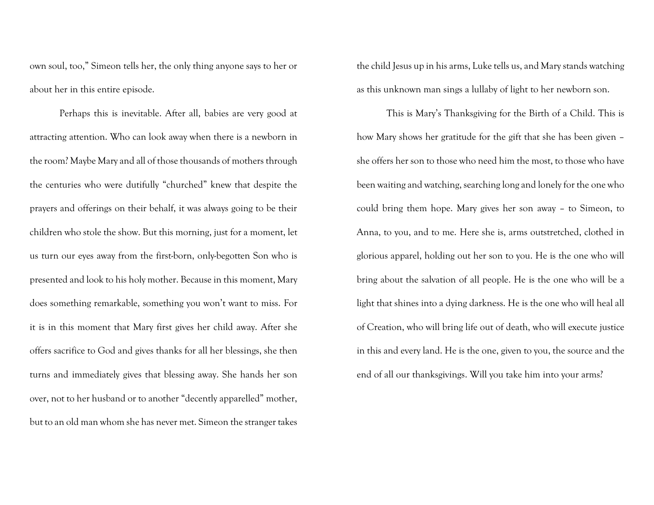own soul, too," Simeon tells her, the only thing anyone says to her or about her in this entire episode.

Perhaps this is inevitable. After all, babies are very good at attracting attention. Who can look away when there is a newborn in the room? Maybe Mary and all of those thousands of mothers through the centuries who were dutifully "churched" knew that despite the prayers and offerings on their behalf, it was always going to be their children who stole the show. But this morning, just for a moment, let us turn our eyes away from the first-born, only-begotten Son who is presented and look to his holy mother. Because in this moment, Mary does something remarkable, something you won't want to miss. For it is in this moment that Mary first gives her child away. After she offers sacrifice to God and gives thanks for all her blessings, she then turns and immediately gives that blessing away. She hands her son over, not to her husband or to another "decently apparelled" mother, but to an old man whom she has never met. Simeon the stranger takes

the child Jesus up in his arms, Luke tells us, and Mary stands watching as this unknown man sings a lullaby of light to her newborn son.

This is Mary's Thanksgiving for the Birth of a Child. This is how Mary shows her gratitude for the gift that she has been given – she offers her son to those who need him the most, to those who have been waiting and watching, searching long and lonely for the one who could bring them hope. Mary gives her son away – to Simeon, to Anna, to you, and to me. Here she is, arms outstretched, clothed in glorious apparel, holding out her son to you. He is the one who will bring about the salvation of all people. He is the one who will be a light that shines into a dying darkness. He is the one who will heal all of Creation, who will bring life out of death, who will execute justice in this and every land. He is the one, given to you, the source and the end of all our thanksgivings. Will you take him into your arms?